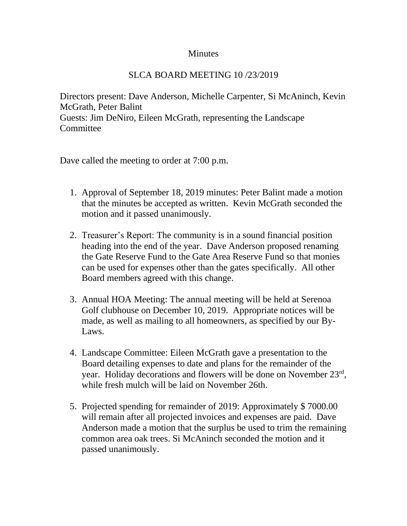## **Minutes**

## SLCA BOARD MEETING 10 /23/2019

Directors present: Dave Anderson, Michelle Carpenter, Si McAninch, Kevin McGrath, Peter Balint Guests: Jim DeNiro, Eileen McGrath, representing the Landscape **Committee** 

Dave called the meeting to order at 7:00 p.m.

- 1. Approval of September 18, 2019 minutes: Peter Balint made a motion that the minutes be accepted as written. Kevin McGrath seconded the motion and it passed unanimously.
- 2. Treasurer's Report: The community is in a sound financial position heading into the end of the year. Dave Anderson proposed renaming the Gate Reserve Fund to the Gate Area Reserve Fund so that monies can be used for expenses other than the gates specifically. All other Board members agreed with this change.
- 3. Annual HOA Meeting: The annual meeting will be held at Serenoa Golf clubhouse on December 10, 2019. Appropriate notices will be made, as well as mailing to all homeowners, as specified by our By-Laws.
- 4. Landscape Committee: Eileen McGrath gave a presentation to the Board detailing expenses to date and plans for the remainder of the year. Holiday decorations and flowers will be done on November 23rd, while fresh mulch will be laid on November 26th.
- 5. Projected spending for remainder of 2019: Approximately \$ 7000.00 will remain after all projected invoices and expenses are paid. Dave Anderson made a motion that the surplus be used to trim the remaining common area oak trees. Si McAninch seconded the motion and it passed unanimously.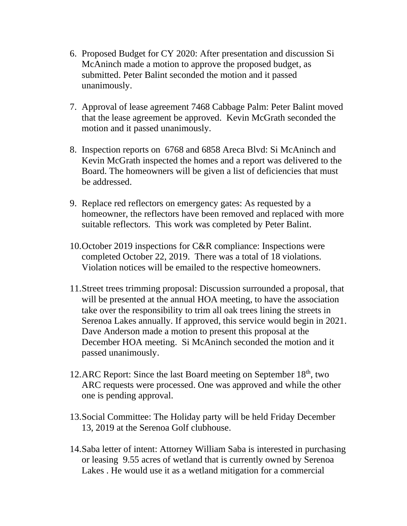- 6. Proposed Budget for CY 2020: After presentation and discussion Si McAninch made a motion to approve the proposed budget, as submitted. Peter Balint seconded the motion and it passed unanimously.
- 7. Approval of lease agreement 7468 Cabbage Palm: Peter Balint moved that the lease agreement be approved. Kevin McGrath seconded the motion and it passed unanimously.
- 8. Inspection reports on 6768 and 6858 Areca Blvd: Si McAninch and Kevin McGrath inspected the homes and a report was delivered to the Board. The homeowners will be given a list of deficiencies that must be addressed.
- 9. Replace red reflectors on emergency gates: As requested by a homeowner, the reflectors have been removed and replaced with more suitable reflectors. This work was completed by Peter Balint.
- 10.October 2019 inspections for C&R compliance: Inspections were completed October 22, 2019. There was a total of 18 violations. Violation notices will be emailed to the respective homeowners.
- 11.Street trees trimming proposal: Discussion surrounded a proposal, that will be presented at the annual HOA meeting, to have the association take over the responsibility to trim all oak trees lining the streets in Serenoa Lakes annually. If approved, this service would begin in 2021. Dave Anderson made a motion to present this proposal at the December HOA meeting. Si McAninch seconded the motion and it passed unanimously.
- 12.ARC Report: Since the last Board meeting on September 18<sup>th</sup>, two ARC requests were processed. One was approved and while the other one is pending approval.
- 13.Social Committee: The Holiday party will be held Friday December 13, 2019 at the Serenoa Golf clubhouse.
- 14.Saba letter of intent: Attorney William Saba is interested in purchasing or leasing 9.55 acres of wetland that is currently owned by Serenoa Lakes . He would use it as a wetland mitigation for a commercial